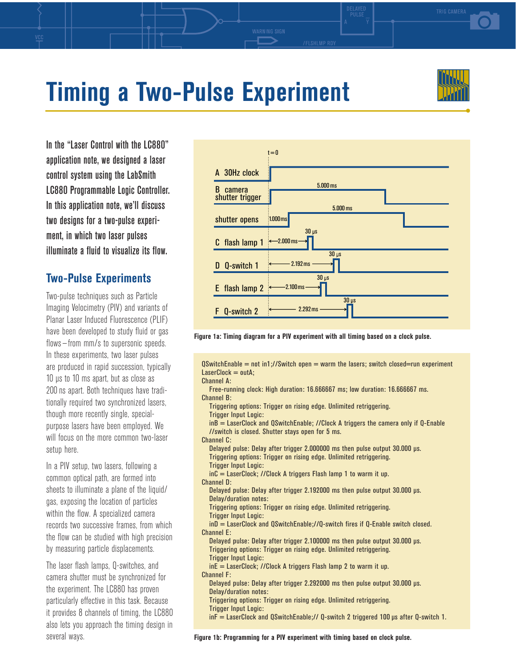# **Timing a Two-Pulse Experiment**

In the "Laser Control with the LC880" application note, we designed a laser control system using the LabSmith LC880 Programmable Logic Controller. In this application note, we'll discuss two designs for a two-pulse experiment, in which two laser pulses illuminate a fluid to visualize its flow.

## **Two-Pulse Experiments**

Two-pulse techniques such as Particle Imaging Velocimetry (PIV) and variants of Planar Laser Induced Fluorescence (PLIF) have been developed to study fluid or gas flows—from mm/s to supersonic speeds. In these experiments, two laser pulses are produced in rapid succession, typically 10 µs to 10 ms apart, but as close as 200 ns apart. Both techniques have traditionally required two synchronized lasers, though more recently single, specialpurpose lasers have been employed. We will focus on the more common two-laser setup here.

In a PIV setup, two lasers, following a common optical path, are formed into sheets to illuminate a plane of the liquid/ gas, exposing the location of particles within the flow. A specialized camera records two successive frames, from which the flow can be studied with high precision by measuring particle displacements.

The laser flash lamps, Q-switches, and camera shutter must be synchronized for the experiment. The LC880 has proven particularly effective in this task. Because it provides 8 channels of timing, the LC880 also lets you approach the timing design in several ways.



**Figure 1a: Timing diagram for a PIV experiment with all timing based on a clock pulse.**

 $\Omega$ SwitchEnable = not in1;//Switch open = warm the lasers; switch closed=run experiment  $LaserClock = outA;$ 

Channel A:

Free-running clock: High duration: 16.666667 ms; low duration: 16.666667 ms. Channel B: Triggering options: Trigger on rising edge. Unlimited retriggering. Trigger Input Logic: inB = LaserClock and QSwitchEnable; //Clock A triggers the camera only if Q-Enable //switch is closed. Shutter stays open for 5 ms. Channel C: Delayed pulse: Delay after trigger 2.000000 ms then pulse output 30.000 µs. Triggering options: Trigger on rising edge. Unlimited retriggering. Trigger Input Logic: inC = LaserClock; //Clock A triggers Flash lamp 1 to warm it up. Channel D: Delayed pulse: Delay after trigger 2.192000 ms then pulse output 30.000 µs. Delay/duration notes: Triggering options: Trigger on rising edge. Unlimited retriggering. Trigger Input Logic: inD = LaserClock and QSwitchEnable;//Q-switch fires if Q-Enable switch closed. Channel E: Delayed pulse: Delay after trigger 2.100000 ms then pulse output 30.000 µs. Triggering options: Trigger on rising edge. Unlimited retriggering. Trigger Input Logic:  $inE =$  LaserClock; //Clock A triggers Flash lamp 2 to warm it up. Channel F: Delayed pulse: Delay after trigger 2.292000 ms then pulse output 30.000 µs. Delay/duration notes: Triggering options: Trigger on rising edge. Unlimited retriggering. Trigger Input Logic:  $inf =$  LaserClock and QSwitchEnable;// Q-switch 2 triggered 100  $\mu$ s after Q-switch 1.